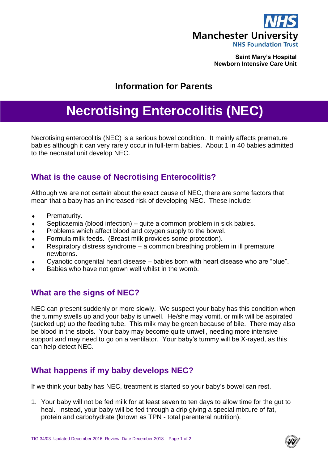

**Saint Mary's Hospital Newborn Intensive Care Unit**

## **Information for Parents**

# **Necrotising Enterocolitis (NEC)**

Necrotising enterocolitis (NEC) is a serious bowel condition. It mainly affects premature babies although it can very rarely occur in full-term babies. About 1 in 40 babies admitted to the neonatal unit develop NEC.

#### **What is the cause of Necrotising Enterocolitis?**

Although we are not certain about the exact cause of NEC, there are some factors that mean that a baby has an increased risk of developing NEC. These include:

- **+** Prematurity.
- $\bullet$  Septicaemia (blood infection) quite a common problem in sick babies.
- Problems which affect blood and oxygen supply to the bowel.
- Formula milk feeds. (Breast milk provides some protection).
- Respiratory distress syndrome a common breathing problem in ill premature newborns.
- Cyanotic congenital heart disease babies born with heart disease who are "blue".
- Babies who have not grown well whilst in the womb.

#### **What are the signs of NEC?**

NEC can present suddenly or more slowly. We suspect your baby has this condition when the tummy swells up and your baby is unwell. He/she may vomit, or milk will be aspirated (sucked up) up the feeding tube. This milk may be green because of bile. There may also be blood in the stools. Your baby may become quite unwell, needing more intensive support and may need to go on a ventilator. Your baby's tummy will be X-rayed, as this can help detect NEC.

#### **What happens if my baby develops NEC?**

If we think your baby has NEC, treatment is started so your baby's bowel can rest.

1. Your baby will not be fed milk for at least seven to ten days to allow time for the gut to heal. Instead, your baby will be fed through a drip giving a special mixture of fat, protein and carbohydrate (known as TPN - total parenteral nutrition).